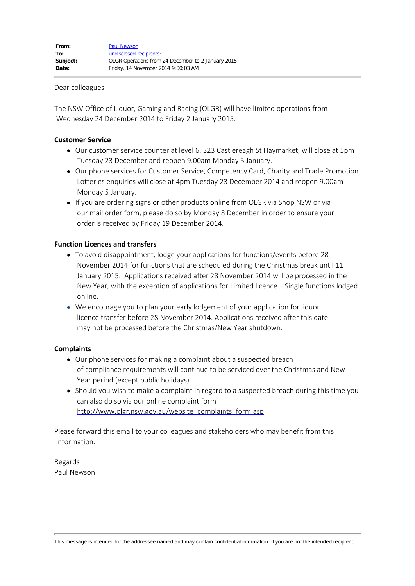## Dear colleagues

The NSW Office of Liquor, Gaming and Racing (OLGR) will have limited operations from Wednesday 24 December 2014 to Friday 2 January 2015.

## **Customer Service**

- Our customer service counter at level 6, 323 Castlereagh St Haymarket, will close at 5pm Tuesday 23 December and reopen 9.00am Monday 5 January.
- Our phone services for Customer Service, Competency Card, Charity and Trade Promotion Lotteries enquiries will close at 4pm Tuesday 23 December 2014 and reopen 9.00am Monday 5 January.
- If you are ordering signs or other products online from OLGR via Shop NSW or via our mail order form, please do so by Monday 8 December in order to ensure your order is received by Friday 19 December 2014.

## **Function Licences and transfers**

- To avoid disappointment, lodge your applications for functions/events before 28 November 2014 for functions that are scheduled during the Christmas break until 11 January 2015. Applications received after 28 November 2014 will be processed in the New Year, with the exception of applications for Limited licence – Single functions lodged online.
- We encourage you to plan your early lodgement of your application for liquor licence transfer before 28 November 2014. Applications received after this date may not be processed before the Christmas/New Year shutdown.

## **Complaints**

- Our phone services for making a complaint about a suspected breach of compliance requirements will continue to be serviced over the Christmas and New Year period (except public holidays).
- Should you wish to make a complaint in regard to a suspected breach during this time you can also do so via our online complaint form [http://www.olgr.nsw.gov.au/website\\_complaints\\_form.asp](http://www.olgr.nsw.gov.au/website_complaints_form.asp)

Please forward this email to your colleagues and stakeholders who may benefit from this information.

Regards Paul Newson